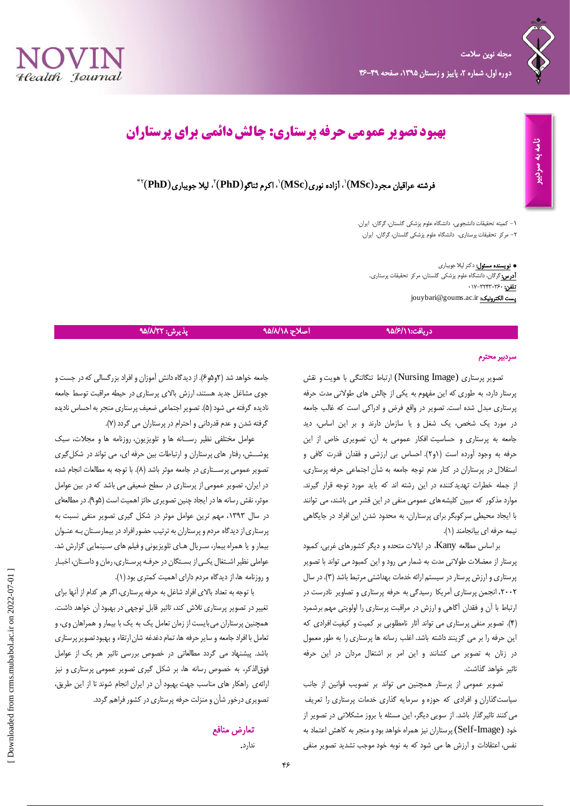

# **بهبود تصویر عمومی حرفه پرستاری: چالش دائمی برای پرستاران**

فرشته عراقیان مجرد(MSc) <sup>۱</sup>، آزاده نوری(MSc) ۱، اکرم ثناگو $\langle \textbf{MSD} \rangle$  بلا جویباری(PhD)  $^*$ 

-1 کمیته تحقیقات دانشجویی، دانشگاه علوم پزشکی گلستان، گرگان، ایران. -2 مرکز تحقیقات پرستاری، دانشگاه علوم پزشکی گلستان، گرگان، ایران.

\* نویسنده مسئول: دکتر لیال جویباری <mark>آدرس:</mark>گرگان، دانشگاه علوم پزشکی گلستان، مرکز تحقیقات پرستاری. تلفن: 017-32430360 jouybari@goums.ac.ir :الکترونیک پست

## دریافت:\ //9/15 به هستندان اصلاح: ۹۵/۸/۱۸ پذیرش: ۹۵/۸/۲۲

### سردبیر محترم

تصویر پرستاری (Image Nursing (ارتباط تنگاتنگی با هویت و نقش پرستار دارد، به طوری که این مفهوم به یکی از چالش های طوالنی مدت حرفه پرستاری مبدل شده است. تصویر در واقع فرض و ادراکی است که غالب جامعه در مورد یک شخص، یک شغل و یا سازمان دارند و بر این اساس، دید جامعه به پرستاری و حساسیت افکار عمومی به آن، تصویری خاص از این حرفه به وجود آورده است )1و2(. احساس بی ارزشی و فقدان قدرت کافی و استقالل در پرستاران در کنار عدم توجه جامعه به شأن اجتماعی حرفه پرستاری، از جمله خطرات تهدیدکننده در این رشته اند که باید مورد توجه قرار گیرند. موارد مذکور که مبین کلیشههای عمومی منفی در این قشر می باشند، می توانند با ایجاد محیطی سرکوبگر برای پرستاران، به محدود شدن این افراد در جایگاهی نیمه حرفه ای بیانجامند )1(.

بر اساس مطالعه Kany، در ایاالت متحده و دیگر کشورهای غربی، کمبود پرستار از معضالت طوالنی مدت به شمار می رود و این کمبود می تواند با تصویر پرستاری و ارزش پرستار در سیستم ارائه خدمات بهداشتی مرتبط باشد )3(. در سال ،2002 انجمن پرستاری آمریکا رسیدگی به حرفه پرستاری و تصاویر نادرست در ارتباط با آن و فقدان آگاهی و ارزش در مراقبت پرستاری را اولویتی مهم برشمرد )4(. تصویر منفی پرستاری می تواند آثار نامطلوبی بر کمیت و کیفیت افرادی که این حرفه را بر می گزینند داشته باشد. اغلب رسانه ها پرستاری را به طور معمول در زنان به تصویر می کشانند و این امر بر اشتغال مردان در این حرفه تاثیر خواهد گذاشت.

تصویر عمومی از پرستار همچنین می تواند بر تصویب قوانین از جانب سیاستگذاران و افرادی که حوزه و سرمایه گذاری خدمات پرستاری را تعریف میکنند تاثیرگذار باشد. از سویی دیگر، این مسئله با بروز مشکالتی در تصویر از خود (Self-Image) پرستاران نیز همراه خواهد بود و منجر به کاهش اعتماد به نفس، اعتقادات و ارزش ها می شود که به نوبه خود موجب تشدید تصویر منفی

جامعه خواهد شد (۲و۵و۶). از دیدگاه دانش آموزان و افراد بزرگسالی که در جست و جوی مشاغل جدید هستند، ارزش باالی پرستاری در حیطه مراقبت توسط جامعه نادیده گرفته می شود (۵). تصویر اجتماعی ضعیف پرستاری منجر به احساس نادیده گرفته شدن و عدم قدردانی و احترام در پرستاران می گردد )7(.

عوامل مختلفی نظیر رســانه ها و تلویزیون، روزنامه ها و مجالت، سبک پوشــش، رفتار های پرستاران و ارتباطات بین حرفه ای، می تواند در شکلگیری تصویر عمومی پرســتاری در جامعه موثر باشد (۸). با توجه به مطالعات انجام شده در ایران، تصویر عمومی از پرستاری در سطح ضعیفی می باشد که در بین عوامل موثر، نقش رسانه ها در ایجاد چنین تصویری حائز اهمیت است (۵و۹). در مطالعهای در سال ،1393 مهم ترین عوامل موثر در شکل گیری تصویر منفی نسبت به پرستاری از دیدگاه مردم و پرستاران به ترتیب حضور افراد در بیمارسـتان بـه عنـوان بیمار و یا همراه بیمار، سـریال هـای تلویزیونی و فیلم های سـینمایی گزارش شد. عواملی نظیر اشـتغال یکـی از بسـتگان در حرفـه پرسـتاری، رمان و داسـتان، اخبـار و روزنامه ها، از دیدگاه مردم دارای اهمیت کمتری بود )1(.

با توجه به تعداد باالی افراد شاغل به حرفه پرستاری، اگر هر کدام از آنها برای تغییر در تصویر پرستاری تالش کند، تاثیر قابل توجهی در بهبود آن خواهد داشت. همچنین پرستاران میبایست از زمان تعامل یک به یک با بیمار و همراهان وی، و تعامل با افراد جامعه و سایر حرفه ها، تمام دغدغه شان ارتقاء و بهبود تصویر پرستاری باشد. پیشنهاد می گردد مطالعاتی در خصوص بررسی تاثیر هر یک از عوامل فوقالذکر، به خصوص رسانه ها، بر شکل گیری تصویر عمومی پرستاری و نیز ارائهی راهکار های مناسب جهت بهبود آن در ایران انجام شوند تا از این طریق، تصویری درخور شأن و منزلت حرفه پرستاری در کشور فراهم گردد.

# تعارض منافع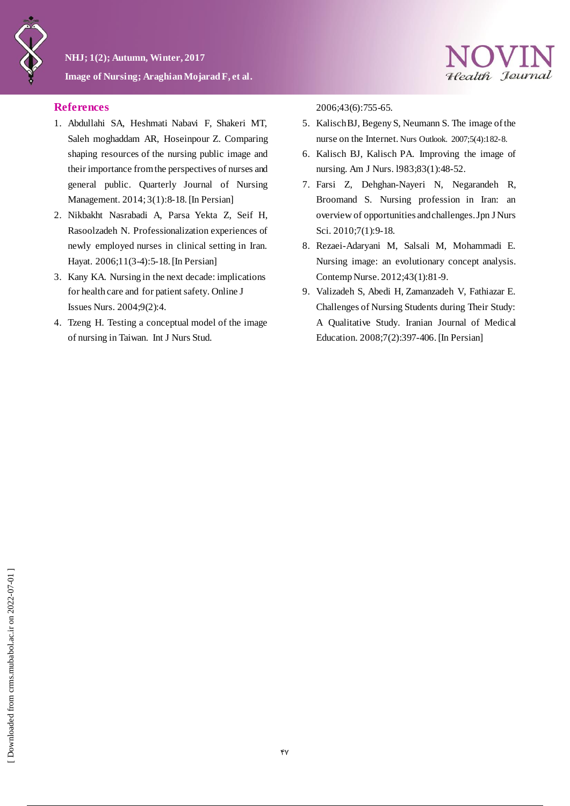

## **References**

- 1. Abdullahi SA, Heshmati Nabavi F, Shakeri MT, Saleh moghaddam AR, Hoseinpour Z. Comparing shaping resources of the nursing public image and their importance from the perspectives of nurses and general public. Quarterly Journal of Nursing Management. 2014; 3(1):8-18. [In Persian]
- 2. Nikbakht Nasrabadi A, Parsa Yekta Z, Seif H, Rasoolzadeh N. Professionalization experiences of newly employed nurses in clinical setting in Iran. Hayat. 2006;11(3-4):5-18. [In Persian]
- 3. Kany KA. Nursing in the next decade: implications for health care and for patient safety. Online J Issues Nurs. 2004;9(2):4.
- 4. Tzeng H. Testing a conceptual model of the image of nursing in Taiwan. Int J Nurs Stud.

2006;43(6):755-65.

5. Kalisch BJ, Begeny S, Neumann S. The image of the nurse on the Internet. Nurs Outlook. 2007;5(4):182-8.

Health Journal

- 6. Kalisch BJ, Kalisch PA. Improving the image of nursing. Am J Nurs. l983;83(1):48-52.
- 7. Farsi Z, Dehghan-Nayeri N, Negarandeh R, Broomand S. Nursing profession in Iran: an overview of opportunities and challenges. Jpn J Nurs Sci. 2010;7(1):9-18.
- 8. Rezaei-Adaryani M, Salsali M, Mohammadi E. Nursing image: an evolutionary concept analysis. Contemp Nurse. 2012;43(1):81-9.
- 9. Valizadeh S, Abedi H, Zamanzadeh V, Fathiazar E. Challenges of Nursing Students during Their Study: A Qualitative Study. Iranian Journal of Medical Education. 2008;7(2):397-406. [In Persian]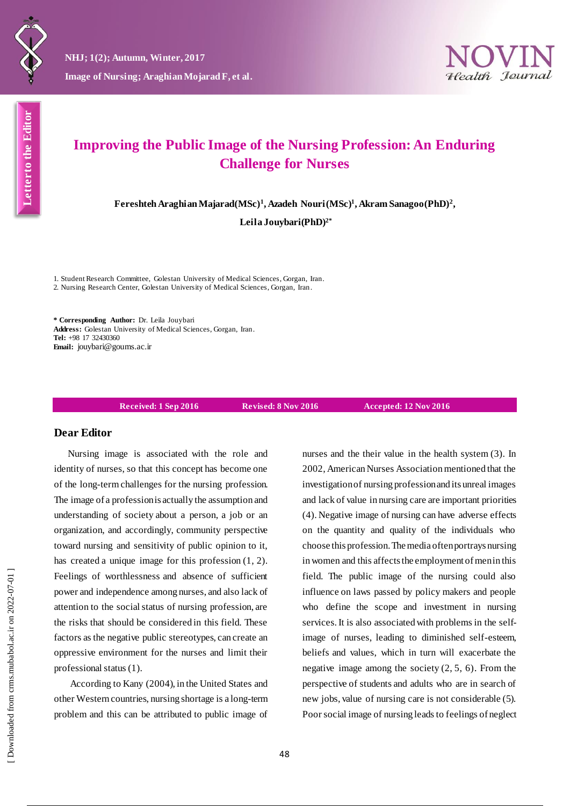



# **Improving the Public Image of the Nursing Profession: An Enduring Challenge for Nurses**

**Fereshteh Araghian Majarad(MSc)<sup>1</sup> , Azadeh Nouri(MSc)<sup>1</sup> , Akram Sanagoo(PhD)<sup>2</sup> ,**

**Leila Jouybari(PhD)2\***

1. Student Research Committee, Golestan University of Medical Sciences, Gorgan, Iran. 2. Nursing Research Center, Golestan University of Medical Sciences, Gorgan, Iran.

**\* Corresponding Author:** Dr. Leila Jouybari **Address:** Golestan University of Medical Sciences, Gorgan, Iran. **Tel:** +98 17 32430360 **Email:** jouybari@goums.ac.ir

**Received: 1 Sep 2016 Revised: 8 Nov 2016 Accepted: 12 Nov 2016**

### **Dear Editor**

Nursing image is associated with the role and identity of nurses, so that this concept has become one of the long-term challenges for the nursing profession. The image of a profession is actually the assumption and understanding of society about a person, a job or an organization, and accordingly, community perspective toward nursing and sensitivity of public opinion to it, has created a unique image for this profession (1, 2). Feelings of worthlessness and absence of sufficient power and independence among nurses, and also lack of attention to the social status of nursing profession, are the risks that should be considered in this field. These factors as the negative public stereotypes, can create an oppressive environment for the nurses and limit their professional status (1).

According to Kany (2004), in the United States and other Western countries, nursing shortage is a long-term problem and this can be attributed to public image of

nurses and the their value in the health system (3). In 2002, American Nurses Association mentioned that the investigation of nursing profession and its unreal images and lack of value in nursing care are important priorities (4). Negative image of nursing can have adverse effects on the quantity and quality of the individuals who choose this profession.The media often portrays nursing in women and this affects the employment of men in this field. The public image of the nursing could also influence on laws passed by policy makers and people who define the scope and investment in nursing services. It is also associated with problems in the selfimage of nurses, leading to diminished self-esteem, beliefs and values, which in turn will exacerbate the negative image among the society  $(2, 5, 6)$ . From the perspective of students and adults who are in search of new jobs, value of nursing care is not considerable (5). Poor social image of nursing leads to feelings of neglect